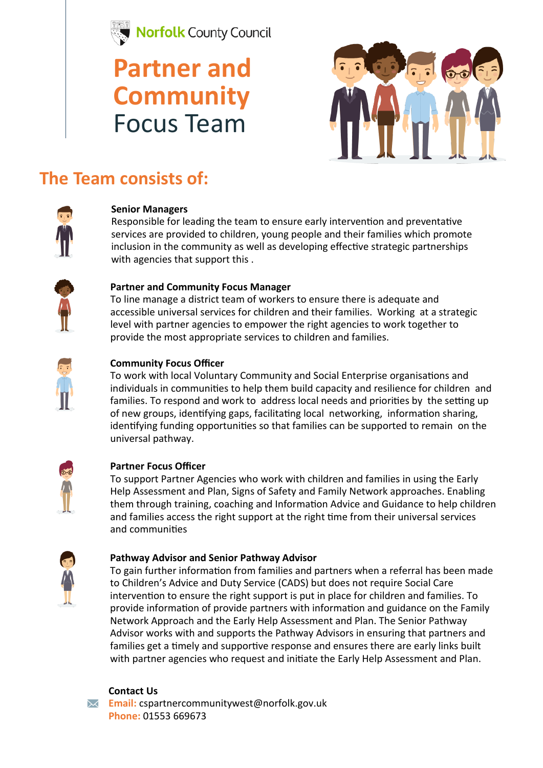

## **Partner and Community**  Focus Team



## **The Team consists of:**



#### **Senior Managers**

Responsible for leading the team to ensure early intervention and preventative services are provided to children, young people and their families which promote inclusion in the community as well as developing effective strategic partnerships with agencies that support this .



### **Partner and Community Focus Manager**

To line manage a district team of workers to ensure there is adequate and accessible universal services for children and their families. Working at a strategic level with partner agencies to empower the right agencies to work together to provide the most appropriate services to children and families.



### **Community Focus Officer**

To work with local Voluntary Community and Social Enterprise organisations and individuals in communities to help them build capacity and resilience for children and families. To respond and work to address local needs and priorities by the setting up of new groups, identifying gaps, facilitating local networking, information sharing, identifying funding opportunities so that families can be supported to remain on the universal pathway.



#### **Partner Focus Officer**

To support Partner Agencies who work with children and families in using the Early Help Assessment and Plan, Signs of Safety and Family Network approaches. Enabling them through training, coaching and Information Advice and Guidance to help children and families access the right support at the right time from their universal services and communities



#### **Pathway Advisor and Senior Pathway Advisor**

To gain further information from families and partners when a referral has been made to Children's Advice and Duty Service (CADS) but does not require Social Care intervention to ensure the right support is put in place for children and families. To provide information of provide partners with information and guidance on the Family Network Approach and the Early Help Assessment and Plan. The Senior Pathway Advisor works with and supports the Pathway Advisors in ensuring that partners and families get a timely and supportive response and ensures there are early links built with partner agencies who request and initiate the Early Help Assessment and Plan.



#### **Contact Us**

**Email:** cspartnercommunitywest@norfolk.gov.uk **Phone:** 01553 669673